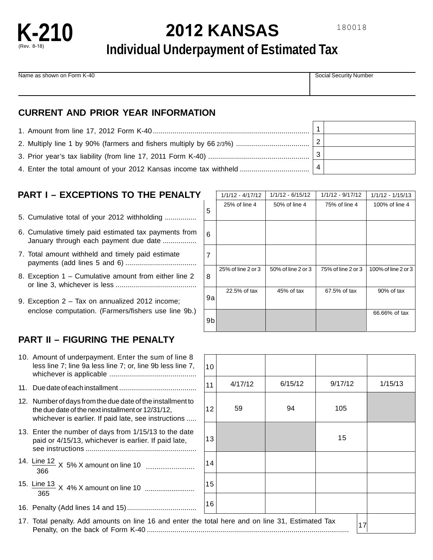

# **2012 KANSAS**

## **Individual Underpayment of Estimated Tax**

Name as shown on Form K-40 Social Security Number Security Number

#### **CURRENT AND PRIOR YEAR INFORMATION**

| 4. Enter the total amount of your 2012 Kansas income tax withheld |  |
|-------------------------------------------------------------------|--|

## **PART I – EXCEPTIONS TO THE PENALTY**

- 5. Cumulative total of your 2012 withholding ................
- 6. Cumulative timely paid estimated tax payments from January through each payment due date .................
- 7. Total amount withheld and timely paid estimate payments (add lines 5 and 6) ....................................
- 8. Exception 1 Cumulative amount from either line 2 or line 3, whichever is less .........................................
- 9. Exception 2 Tax on annualized 2012 income; enclose computation. (Farmers/fishers use line 9b.)

### **PART II – FIGURING THE PENALTY**

| 10. Amount of underpayment. Enter the sum of line 8<br>less line 7; line 9a less line 7; or, line 9b less line 7,                                                       | 10 |         |         |       |
|-------------------------------------------------------------------------------------------------------------------------------------------------------------------------|----|---------|---------|-------|
|                                                                                                                                                                         | 11 | 4/17/12 | 6/15/12 | 9/17/ |
| 12. Number of days from the due date of the installment to<br>the due date of the next installment or 12/31/12,<br>whichever is earlier. If paid late, see instructions | 12 | 59      | 94      | 105   |
| 13. Enter the number of days from 1/15/13 to the date<br>paid or 4/15/13, whichever is earlier. If paid late,                                                           | 13 |         |         | 15    |
| 366                                                                                                                                                                     | 14 |         |         |       |
| 365                                                                                                                                                                     | 15 |         |         |       |
|                                                                                                                                                                         | 16 |         |         |       |
| 17. Total penalty. Add amounts on line 16 and enter the total here and on line 31, Estimated Tax                                                                        |    |         |         |       |

|    | $1/1/12 - 4/17/12$ | $1/1/12 - 6/15/12$ | 1/1/12 - 9/17/12   | $1/1/12 - 1/15/13$  |
|----|--------------------|--------------------|--------------------|---------------------|
| 5  | 25% of line 4      | 50% of line 4      | 75% of line 4      | 100% of line 4      |
| 6  |                    |                    |                    |                     |
| 7  |                    |                    |                    |                     |
| 8  | 25% of line 2 or 3 | 50% of line 2 or 3 | 75% of line 2 or 3 | 100% of line 2 or 3 |
| 9a | 22.5% of tax       | 45% of tax         | 67.5% of tax       | 90% of tax          |
| 9b |                    |                    |                    | 66.66% of tax       |

| 10 |                                          |         |         |         |
|----|------------------------------------------|---------|---------|---------|
| 11 | 4/17/12                                  | 6/15/12 | 9/17/12 | 1/15/13 |
| 12 | 59                                       | 94      | 105     |         |
| 13 |                                          |         | 15      |         |
| 14 |                                          |         |         |         |
| 15 |                                          |         |         |         |
| 16 |                                          |         |         |         |
|    | total here and on line 31, Estimated Tax | 17      |         |         |